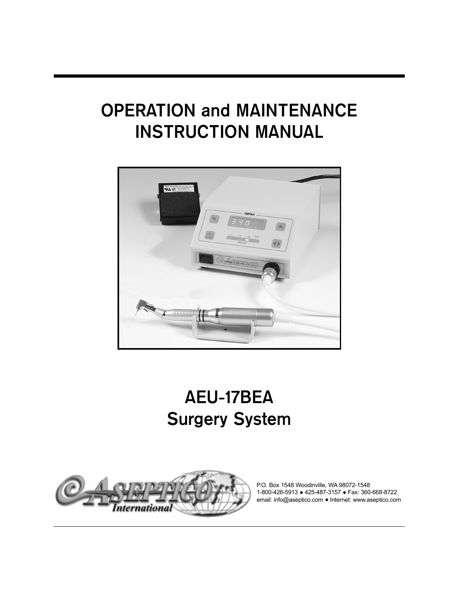# **OPERATION and MAINTENANCE INSTRUCTION MANUAL**



# **AEU-17BEA Surgery System**



P.O. Box 1548 Woodinville, WA 98072-1548 1-800-426-5913 ● 425-487-3157 ● Fax: 360-668-8722 email: info@aseptico.com • Internet: www.aseptico.com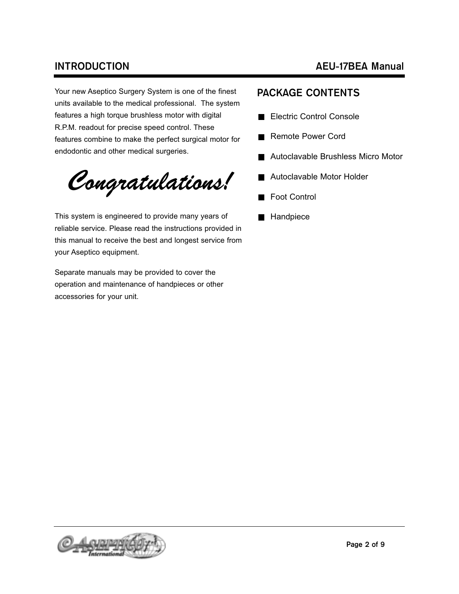Your new Aseptico Surgery System is one of the finest units available to the medical professional. The system features a high torque brushless motor with digital R.P.M. readout for precise speed control. These features combine to make the perfect surgical motor for endodontic and other medical surgeries.

Congratulations!

This system is engineered to provide many years of reliable service. Please read the instructions provided in this manual to receive the best and longest service from your Aseptico equipment.

Separate manuals may be provided to cover the operation and maintenance of handpieces or other accessories for your unit.

## **INTRODUCTION AEU-17BEA Manual**

### **PACKAGE CONTENTS**

- Electric Control Console
- Remote Power Cord
	- Autoclavable Brushless Micro Motor
- Autoclavable Motor Holder
- **Foot Control**
- **Handpiece**

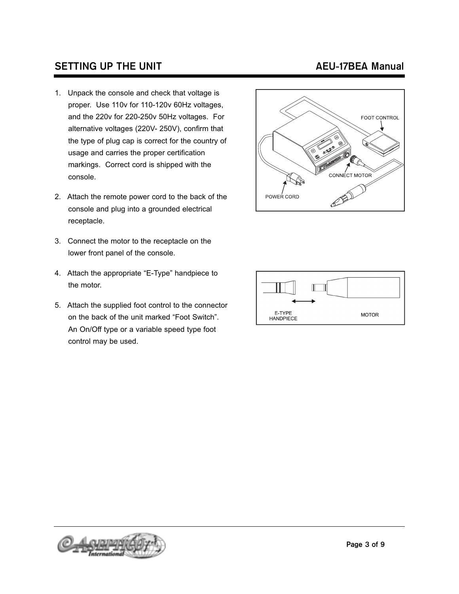## **SETTING UP THE UNIT AEU-17BEA Manual**

- 1. Unpack the console and check that voltage is proper. Use 110v for 110-120v 60Hz voltages, and the 220v for 220-250v 50Hz voltages. For alternative voltages (220V- 250V), confirm that the type of plug cap is correct for the country of usage and carries the proper certification markings. Correct cord is shipped with the console.
- 2. Attach the remote power cord to the back of the console and plug into a grounded electrical receptacle.
- 3. Connect the motor to the receptacle on the lower front panel of the console.
- 4. Attach the appropriate "E-Type" handpiece to the motor.
- 5. Attach the supplied foot control to the connector on the back of the unit marked "Foot Switch". An On/Off type or a variable speed type foot control may be used.





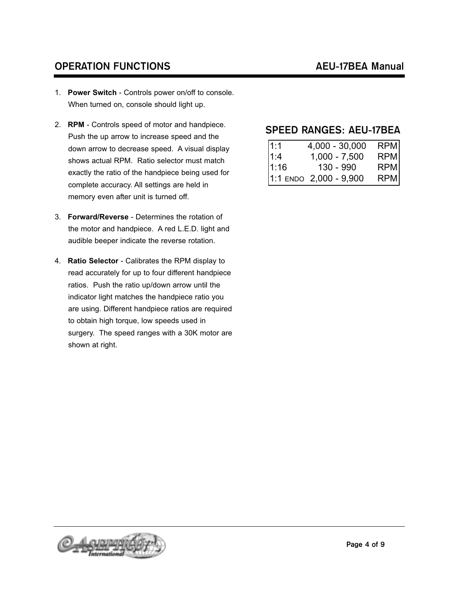# **OPERATION FUNCTIONS AEU-17BEA Manual**

- 1. **Power Switch**  Controls power on/off to console. When turned on, console should light up.
- 2. **RPM**  Controls speed of motor and handpiece. Push the up arrow to increase speed and the down arrow to decrease speed. A visual display shows actual RPM. Ratio selector must match exactly the ratio of the handpiece being used for complete accuracy. All settings are held in memory even after unit is turned off.
- 3. **Forward/Reverse**  Determines the rotation of the motor and handpiece. A red L.E.D. light and audible beeper indicate the reverse rotation.
- 4. **Ratio Selector**  Calibrates the RPM display to read accurately for up to four different handpiece ratios. Push the ratio up/down arrow until the indicator light matches the handpiece ratio you are using. Different handpiece ratios are required to obtain high torque, low speeds used in surgery. The speed ranges with a 30K motor are shown at right.

### **SPEED RANGES: AEU-17BEA**

| 1:1  | $4,000 - 30,000$           | <b>RPM</b> |
|------|----------------------------|------------|
| 1:4  | $1,000 - 7,500$            | RPM        |
| 1:16 | 130 - 990                  | <b>RPM</b> |
|      | $1:1$ ENDO $2,000 - 9,900$ | RPM        |

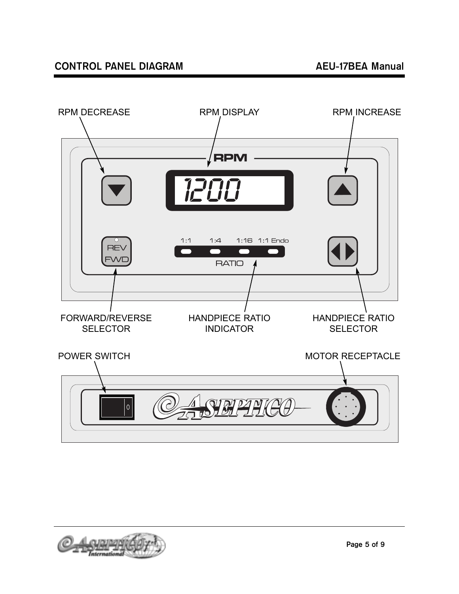

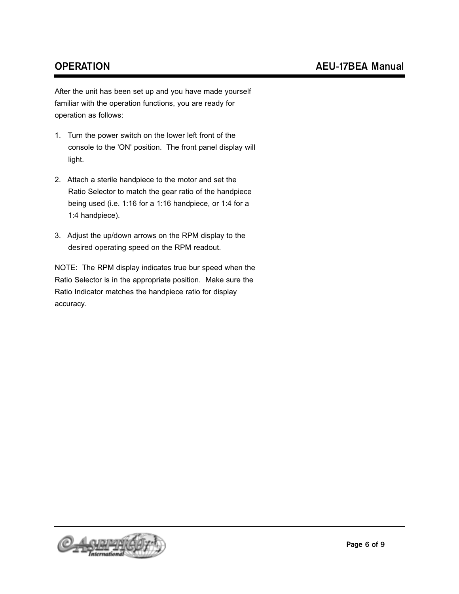After the unit has been set up and you have made yourself familiar with the operation functions, you are ready for operation as follows:

- 1. Turn the power switch on the lower left front of the console to the 'ON' position. The front panel display will light.
- 2. Attach a sterile handpiece to the motor and set the Ratio Selector to match the gear ratio of the handpiece being used (i.e. 1:16 for a 1:16 handpiece, or 1:4 for a 1:4 handpiece).
- 3. Adjust the up/down arrows on the RPM display to the desired operating speed on the RPM readout.

NOTE: The RPM display indicates true bur speed when the Ratio Selector is in the appropriate position. Make sure the Ratio Indicator matches the handpiece ratio for display accuracy.

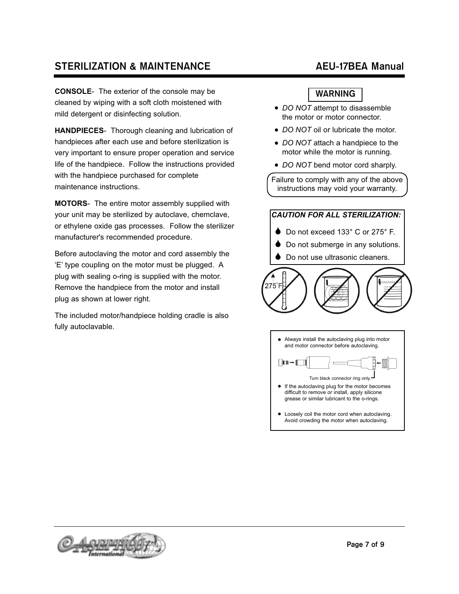# **STERILIZATION & MAINTENANCE** AEU-17BEA Manual

**CONSOLE**- The exterior of the console may be cleaned by wiping with a soft cloth moistened with mild detergent or disinfecting solution.

**HANDPIECES**- Thorough cleaning and lubrication of handpieces after each use and before sterilization is very important to ensure proper operation and service life of the handpiece. Follow the instructions provided with the handpiece purchased for complete maintenance instructions.

**MOTORS**- The entire motor assembly supplied with your unit may be sterilized by autoclave, chemclave, or ethylene oxide gas processes. Follow the sterilizer manufacturer's recommended procedure.

Before autoclaving the motor and cord assembly the 'E' type coupling on the motor must be plugged. A plug with sealing o-ring is supplied with the motor. Remove the handpiece from the motor and install plug as shown at lower right.

The included motor/handpiece holding cradle is also fully autoclavable.

### **WARNING**

- *DO NOT* attempt to disassemble the motor or motor connector.
- *DO NOT* oil or lubricate the motor.
- *DO NOT* attach a handpiece to the motor while the motor is running.
- *DO NOT* bend motor cord sharply.

Failure to comply with any of the above instructions may void your warranty.

# *CAUTION FOR ALL STERILIZATION:*

- Do not exceed 133° C or 275° F.
- ♦ Do not submerge in any solutions.
- ♦ Do not use ultrasonic cleaners.



Always install the autoclaving plug into motor and motor connector before autoclaving.  $\boxed{\mathbf{L}\mathbf{D}\rightarrow\llbracket\blacksquare\rrbracket}$ Turn black connector ring only. If the autoclaving plug for the motor becomes difficult to remove or install, apply silicone grease or similar lubricant to the o-rings. Loosely coil the motor cord when autoclaving. Avoid crowding the motor when autoclaving.

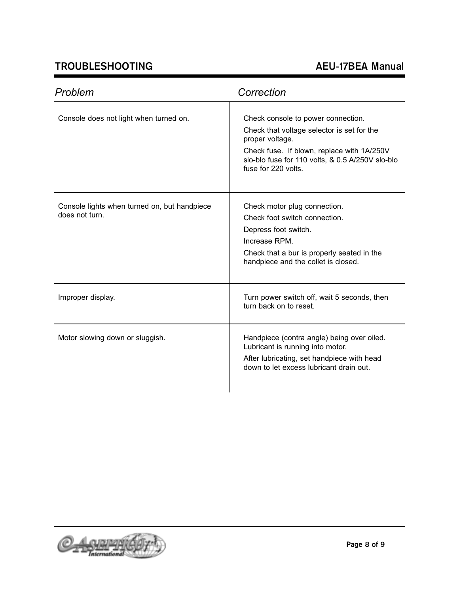# **TROUBLESHOOTING AEU-17BEA Manual**

J.

| Problem                                                        | Correction                                                                                                                                                                                                                   |
|----------------------------------------------------------------|------------------------------------------------------------------------------------------------------------------------------------------------------------------------------------------------------------------------------|
| Console does not light when turned on.                         | Check console to power connection.<br>Check that voltage selector is set for the<br>proper voltage.<br>Check fuse. If blown, replace with 1A/250V<br>slo-blo fuse for 110 volts, & 0.5 A/250V slo-blo<br>fuse for 220 volts. |
| Console lights when turned on, but handpiece<br>does not turn. | Check motor plug connection.<br>Check foot switch connection.<br>Depress foot switch.<br>Increase RPM.<br>Check that a bur is properly seated in the<br>handpiece and the collet is closed.                                  |
| Improper display.                                              | Turn power switch off, wait 5 seconds, then<br>turn back on to reset.                                                                                                                                                        |
| Motor slowing down or sluggish.                                | Handpiece (contra angle) being over oiled.<br>Lubricant is running into motor.<br>After lubricating, set handpiece with head<br>down to let excess lubricant drain out.                                                      |